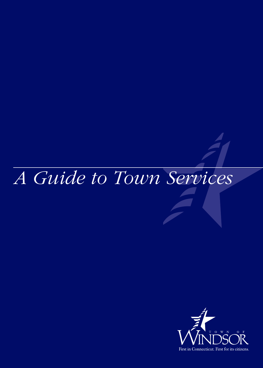# *A Guide to Town Services*

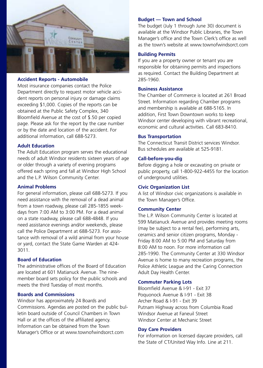

#### **Accident Reports - Automobile**

Most insurance companies contact the Police Department directly to request motor vehicle accident reports on personal injury or damage claims exceeding \$1,000. Copies of the reports can be obtained at the Public Safety Complex, 340 Bloomfield Avenue at the cost of \$.50 per copied page. Please ask for the report by the case number or by the date and location of the accident. For additional information, call 688-5273.

## **Adult Education**

The Adult Education program serves the educational needs of adult Windsor residents sixteen years of age or older through a variety of evening programs offered each spring and fall at Windsor High School and the L.P. Wilson Community Center.

#### **Animal Problems**

For general information, please call 688-5273. If you need assistance with the removal of a dead animal from a town roadway, please call 285-1855 weekdays from 7:00 AM to 3:00 PM. For a dead animal on a state roadway, please call 688-4848. If you need assistance evenings and/or weekends, please call the Police Department at 688-5273. For assistance with removal of a wild animal from your house or yard, contact the State Game Warden at 424- 3011.

## **Board of Education**

The administrative offices of the Board of Education are located at 601 Matianuck Avenue. The ninemember board sets policy for the public schools and meets the third Tuesday of most months.

## **Boards and Commissions**

Windsor has approximately 24 Boards and Commissions. Agendas are posted on the public bulletin board outside of Council Chambers in Town Hall or at the offices of the affiliated agency. Information can be obtained from the Town Manager's Office or at www.townofwindsorct.com

#### **Budget — Town and School**

The budget (July 1 through June 30) document is available at the Windsor Public Libraries, the Town Manager's office and the Town Clerk's office as well as the town's website at www.townofwindsorct.com

#### **Building Permits**

If you are a property owner or tenant you are responsible for obtaining permits and inspections as required. Contact the Building Department at 285-1960.

## **Business Assistance**

The Chamber of Commerce is located at 261 Broad Street. Information regarding Chamber programs and membership is available at 688-5165. In addition, First Town Downtown works to keep Windsor center developing with vibrant recreational, economic and cultural activities. Call 683-8410.

## **Bus Transportation**

The Connecticut Transit District services Windsor. Bus schedules are available at 525-9181.

#### **Call-before-you-dig**

Before digging a hole or excavating on private or public property, call 1-800-922-4455 for the location of underground utilities.

## **Civic Organization List**

A list of Windsor civic organizations is available in the Town Manager's Office.

#### **Community Center**

The L.P. Wilson Community Center is located at 599 Matianuck Avenue and provides meeting rooms (may be subject to a rental fee), performing arts, ceramics and senior citizen programs, Monday - Friday 8:00 AM to 5:00 PM and Saturday from 8:00 AM to noon. For more information call 285-1990. The Community Center at 330 Windsor Avenue is home to many recreation programs, the Police Athletic League and the Caring Connection Adult Day Health Center.

#### **Commuter Parking Lots**

Bloomfield Avenue & I-91 - Exit 37 Poquonock Avenue & I-91 - Exit 38 Archer Road & I-91 - Exit 39 Putnam Highway across from Columbia Road Windsor Avenue at Faneuil Street Windsor Center at Mechanic Street

#### **Day Care Providers**

For information on licensed daycare providers, call the State of CT/United Way Info. Line at 211.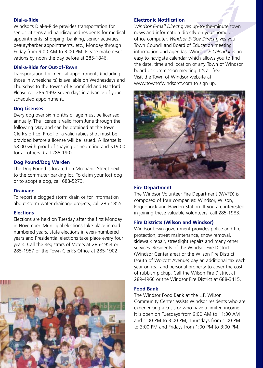## **Dial-a-Ride**

Windsor's Dial-a-Ride provides transportation for senior citizens and handicapped residents for medical appointments, shopping, banking, senior activities, beauty/barber appointments, etc., Monday through Friday from 9:00 AM to 3:00 PM. Please make reservations by noon the day before at 285-1846.

## **Dial-a-Ride for Out-of-Town**

Transportation for medical appointments (including those in wheelchairs) is available on Wednesdays and Thursdays to the towns of Bloomfield and Hartford. Please call 285-1992 seven days in advance of your scheduled appointment.

## **Dog Licenses**

Every dog over six months of age must be licensed annually. The license is valid from June through the following May and can be obtained at the Town Clerk's office. Proof of a valid rabies shot must be provided before a license will be issued. A license is \$8.00 with proof of spaying or neutering and \$19.00 for all others. Call 285-1902.

## **Dog Pound/Dog Warden**

The Dog Pound is located on Mechanic Street next to the commuter parking lot. To claim your lost dog or to adopt a dog, call 688-5273.

## **Drainage**

To report a clogged storm drain or for information about storm water drainage projects, call 285-1855.

## **Elections**

Elections are held on Tuesday after the first Monday in November. Municipal elections take place in oddnumbered years, state elections in even-numbered years and Presidential elections take place every four years. Call the Registrars of Voters at 285-1954 or 285-1957 or the Town Clerk's Office at 285-1902.



## **Electronic Notification**

*Windsor E-mail Direct* gives up-to-the-minute town news and information directly on your home or office computer. *Windsor E-Gov Direct* gives you Town Council and Board of Education meeting information and agendas. Windsor *E-Calendar* is an easy to navigate calendar which allows you to find the date, time and location of any Town of Windsor board or commission meeting. It's all free! Visit the Town of Windsor website at www.townofwindsorct.com to sign up.



## **Fire Department**

The Windsor Volunteer Fire Department (WVFD) is composed of four companies: Windsor, Wilson, Poquonock and Hayden Station. If you are interested in joining these valuable volunteers, call 285-1983.

## **Fire Districts (Wilson and Windsor)**

Windsor town government provides police and fire protection, street maintenance, snow removal, sidewalk repair, streetlight repairs and many other services. Residents of the Windsor Fire District (Windsor Center area) or the Wilson Fire District (south of Wolcott Avenue) pay an additional tax each year on real and personal property to cover the cost of rubbish pickup. Call the Wilson Fire District at 289-4966 or the Windsor Fire District at 688-3415.

## **Food Bank**

The Windsor Food Bank at the L.P. Wilson Community Center assists Windsor residents who are experiencing a crisis or who have a limited income. It is open on Tuesdays from 9:00 AM to 11:30 AM and 1:00 PM to 3:00 PM; Thursdays from 1:00 PM to 3:00 PM and Fridays from 1:00 PM to 3:00 PM.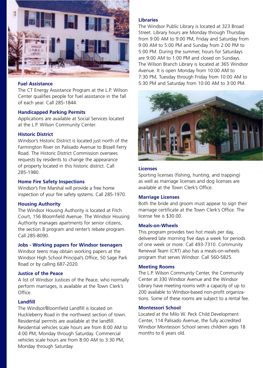

## **Fuel Assistance**

The CT Energy Assistance Program at the L.P. Wilson Center qualifies people for fuel assistance in the fall of each year. Call 285-1844.

#### **Handicapped Parking Permits**

Applications are available at Social Services located at the L.P. Wilson Community Center.

#### **Historic District**

Windsor's Historic District is located just north of the Farmington River on Palisado Avenue to Bissell Ferry Road. The Historic District Commission oversees requests by residents to change the appearance of property located in this historic district. Call 285-1980.

#### **Home Fire Safety Inspections**

Windsor's Fire Marshal will provide a free home inspection of your fire safety systems. Call 285-1970.

#### **Housing Authority**

The Windsor Housing Authority is located at Fitch Court, 156 Bloomfield Avenue. The Windsor Housing Authority manages apartments for senior citizens, the section 8 program and renter's rebate program. Call 285-8090.

#### **Jobs - Working papers for Windsor teenagers**

Windsor teens may obtain working papers at the Windsor High School Principal's Office, 50 Sage Park Road or by calling 687-2020.

#### **Justice of the Peace**

A list of Windsor Justices of the Peace, who normally perform marriages, is available at the Town Clerk's Office.

## **Landfill**

The Windsor/Bloomfield Landfill is located on Huckleberry Road in the northwest section of town. Residential permits are available at the landfill. Residential vehicles scale hours are from 8:00 AM to 4:00 PM, Monday through Saturday. Commercial vehicles scale hours are from 8:00 AM to 3:30 PM, Monday through Saturday.

## **Libraries**

The Windsor Public Library is located at 323 Broad Street. Library hours are Monday through Thursday from 9:00 AM to 9:00 PM, Friday and Saturday from 9:00 AM to 5:00 PM and Sunday from 2:00 PM to 5:00 PM. During the summer, hours for Saturdays are 9:00 AM to 1:00 PM and closed on Sundays. The Wilson Branch Library is located at 365 Windsor Avenue. It is open Monday from 10:00 AM to 7:30 PM, Tuesday through Friday from 10:00 AM to 5:30 PM and Saturday from 10:00 AM to 3:00 PM.



#### **Licenses**

Sporting licenses (fishing, hunting, and trapping) as well as marriage licenses and dog licenses are available at the Town Clerk's Office.

#### **Marriage Licenses**

Both the bride and groom must appear to sign their marriage certificate at the Town Clerk's Office. The license fee is \$30.00.

#### **Meals-on-Wheels**

This program provides two hot meals per day, delivered late morning five days a week for periods of one week or more. Call 493-7310. Community Renewal Team (CRT) also has a meals-on-wheels program that serves Windsor. Call 560-5825.

## **Meeting Rooms**

The L.P. Wilson Community Center, the Community Center at 330 Windsor Avenue and the Windsor Library have meeting rooms with a capacity of up to 200 available to Windsor-based non-profit organizations. Some of these rooms are subject to a rental fee.

#### **Montessori School**

Located at the Milo W. Peck Child Development Center, 114 Palisado Avenue, the fully accredited Windsor Montessori School serves children ages 18 months to 6 years old.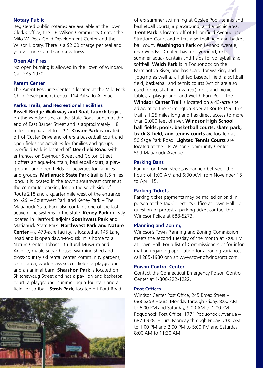## **Notary Public**

Registered public notaries are available at the Town Clerk's office, the L.P. Wilson Community Center the Milo W. Peck Child Development Center and the Wilson Library. There is a \$2.00 charge per seal and you will need an ID and a witness.

## **Open Air Fires**

No open burning is allowed in the Town of Windsor. Call 285-1970.

## **Parent Center**

The Parent Resource Center is located at the Milo Peck Child Development Center, 114 Palisado Avenue.

## **Parks, Trails, and Recreational Facilities**

**Bissell Bridge Walkway and Boat Launch** begins on the Windsor side of the State Boat Launch at the end of East Barber Street and is approximately 1.8 miles long parallel to I-291. **Custer Park** is located off of Custer Drive and offers a basketball court and open fields for activities for families and groups. Deerfield Park is located off **Deerfield Road** with entrances on Seymour Street and Colton Street. It offers an aqua-fountain, basketball court, a playground, and open fields for activities for families and groups. **Matianuck State Park** trail is 1.5 miles long. It is located in the town's southwest corner at the commuter parking lot on the south side of Route 218 and a quarter mile west of the entrance to I-291– Southwest Park and Keney Park – The Matianuck State Park also contains one of the last active dune systems in the state. **Keney Park** (mostly located in Hartford) adjoins **Southwest Park** and Matianuck State Park. **Northwest Park and Nature Center** – a 473-acre facility, is located at 145 Lang Road and is open dawn-to-dusk. It is home to a Nature Center, Tobacco Cultural Museum and Archive, maple sugar house, warming shed and cross-country ski rental center, community gardens, picnic area, world-class soccer fields, a playground, and an animal barn. **Sharshon Park** is located on Skitchewaug Street and has a pavilion and basketball court, a playground, summer aqua-fountain and a field for softball. **Stroh Park,** located off Ford Road



offers summer swimming at Goslee Pool, tennis and basketball courts, a playground, and a picnic area. **Trent Park** is located off of Bloomfield Avenue and Stratford Court and offers a softball field and basketball court. **Washington Park** on Lennox Avenue, near Windsor Center, has a playground, grills, summer aqua-fountain and fields for volleyball and softball. **Welch Park** is in Poquonock on the Farmington River, and has space for walking and jogging as well as a lighted baseball field, a softball field, basketball and tennis courts (which are also used for ice skating in winter), grills and picnic tables, a playground, and Welch Park Pool. The **Windsor Center Trail** is located on a 43-acre site adjacent to the Farmington River at Route 159. This trail is 1.25 miles long and has direct access to more than 2,000 feet of river. **Windsor High School ball fields, pools, basketball courts, skate park, track & field, and tennis courts** are located at 50 Sage Park Road. **Lighted Tennis Courts** are

located at the L.P. Wilson Community Center, 599 Matianuck Avenue.

## **Parking Bans**

Parking on town streets is banned between the hours of 1:00 AM and 6:00 AM from November 15 to April 15.

## **Parking Tickets**

Parking ticket payments may be mailed or paid in person at the Tax Collector's Office at Town Hall. To question or protest a parking ticket contact the Windsor Police at 688-5273.

## **Planning and Zoning**

Windsor's Town Planning and Zoning Commission meets the second Tuesday of the month at 7:00 PM at Town Hall. For a list of Commissioners or for information regarding application for a zoning variance, call 285-1980 or visit www.townofwindsorct.com.

## **Poison Control Center**

Contact the Connecticut Emergency Poison Control Center at 1-800-222-1222.

## **Post Offices**

Windsor Center Post Office, 245 Broad Street – 688-5259 Hours: Monday through Friday, 8:00 AM to 5:00 PM and Saturday, 9:00 AM to 1:00 PM. Poquonock Post Office, 1771 Poquonock Avenue – 687-6928. Hours: Monday through Friday, 7:00 AM to 1:00 PM and 2:00 PM to 5:00 PM and Saturday 8:00 AM to 11:30 AM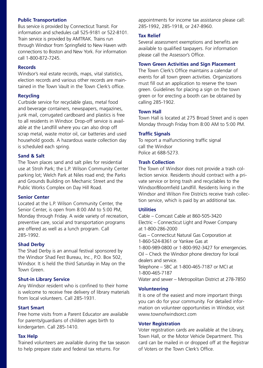## **Public Transportation**

Bus service is provided by Connecticut Transit. For information and schedules call 525-9181 or 522-8101. Train service is provided by AMTRAK. Trains run through Windsor from Springfield to New Haven with connections to Boston and New York. For information call 1-800-872-7245.

## **Records**

Windsor's real estate records, maps, vital statistics, election records and various other records are maintained in the Town Vault in the Town Clerk's office.

## **Recycling**

Curbside service for recyclable glass, metal food and beverage containers, newspapers, magazines, junk mail, corrugated cardboard and plastics is free to all residents in Windsor. Drop-off service is available at the Landfill where you can also drop off scrap metal, waste motor oil, car batteries and used household goods. A hazardous waste collection day is scheduled each spring.

## **Sand & Salt**

The Town places sand and salt piles for residential use at Stroh Park; the L.P. Wilson Community Center parking lot; Welch Park at Niles road end; the Parks and Grounds Building on Mechanic Street and the Public Works Complex on Day Hill Road.

## **Senior Center**

Located at the L.P. Wilson Community Center, the Senior Center, is open from 8:00 AM to 5:00 PM, Monday through Friday. A wide variety of recreation, preventive care, social and transportation programs are offered as well as a lunch program. Call 285-1992.

## **Shad Derby**

The Shad Derby is an annual festival sponsored by the Windsor Shad Fest Bureau, Inc., P.O. Box 502, Windsor. It is held the third Saturday in May on the Town Green.

## **Shut-in Library Service**

Any Windsor resident who is confined to their home is welcome to receive free delivery of library materials from local volunteers. Call 285-1931.

## **Start Smart**

Free home visits from a Parent Educator are available for parents/guardians of children ages birth to kindergarten. Call 285-1410.

## **Tax Help**

Trained volunteers are available during the tax season to help prepare state and federal tax returns. For

appointments for income tax assistance please call: 285-1992, 285-1918, or 247-8960.

#### **Tax Relief**

Several assessment exemptions and benefits are available to qualified taxpayers. For information please call the Assessor's Office.

## **Town Green Activities and Sign Placement**

The Town Clerk's Office maintains a calendar of events for all town green activities. Organizations must fill out an application to reserve the town green. Guidelines for placing a sign on the town green or for erecting a booth can be obtained by calling 285-1902.

## **Town Hall**

Town Hall is located at 275 Broad Street and is open Monday through Friday from 8:00 AM to 5:00 PM.

## **Traffic Signals**

To report a malfunctioning traffic signal call the Windsor Police at 688-5273.

#### **Trash Collection**

The Town of Windsor does not provide a trash collection service. Residents should contract with a private service or bring trash and recyclables to the Windsor/Bloomfield Landfill. Residents living in the Windsor and Wilson Fire Districts receive trash collection service, which is paid by an additional tax.

## **Utilities**

Cable – Comcast Cable at 860-505-3420 Electric – Connecticut Light and Power Company at 1-800-286-2000 Gas – Connecticut Natural Gas Corporation at 1-860-524-8361 or Yankee Gas at 1-800-989-0800 or 1-800-992-3427 for emergencies. Oil – Check the Windsor phone directory for local dealers and service. Telephone – SBC at 1-800-465-7187 or MCI at 1-800-465-7187

Water and sewer – Metropolitan District at 278-7850

## **Volunteering**

It is one of the easiest and more important things you can do for your community. For detailed information on volunteer opportunities in Windsor, visit www.townofwindsorct.com

## **Voter Registration**

Voter registration cards are available at the Library, Town Hall, or the Motor Vehicle Department. This card can be mailed in or dropped off at the Registrar of Voters or the Town Clerk's Office.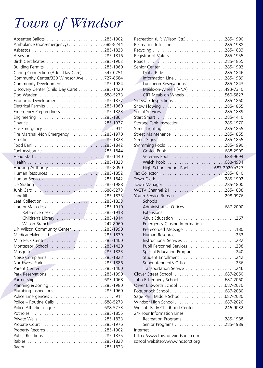## *Town of Windsor*

| Ambulance (non-emergency) 688-8244          |  |
|---------------------------------------------|--|
|                                             |  |
|                                             |  |
|                                             |  |
|                                             |  |
| Caring Connection (Adult Day Care) 547-0251 |  |
| Community Center/330 Windsor Ave 727-8684   |  |
| Community Development 285-1984              |  |
| Discovery Center (Child Day Care) 285-1420  |  |
|                                             |  |
|                                             |  |
|                                             |  |
|                                             |  |
|                                             |  |
| Finance 285-1937                            |  |
|                                             |  |
| Fire Marshal -Non Emergency 285-1970        |  |
|                                             |  |
|                                             |  |
|                                             |  |
|                                             |  |
|                                             |  |
|                                             |  |
|                                             |  |
|                                             |  |
| Ice Skating 285-1988                        |  |
|                                             |  |
|                                             |  |
|                                             |  |
|                                             |  |
|                                             |  |
| Children's Library 285-1914                 |  |
| Wilson Branch 247-8960                      |  |
| L.P. Wilson Community Center 285-1990       |  |
| Medicare/Medicaid 285-1839                  |  |
|                                             |  |
|                                             |  |
|                                             |  |
| Noise Complaints 285-1823                   |  |
|                                             |  |
|                                             |  |
| Park Reservations 285-1990                  |  |
|                                             |  |
|                                             |  |
|                                             |  |
|                                             |  |
|                                             |  |
|                                             |  |
| Potholes                                    |  |
|                                             |  |
|                                             |  |
|                                             |  |
|                                             |  |
|                                             |  |
|                                             |  |

|                                                                    | Recreation (L.P. Wilson Ctr.) 285-1990 |
|--------------------------------------------------------------------|----------------------------------------|
|                                                                    |                                        |
|                                                                    |                                        |
|                                                                    |                                        |
|                                                                    |                                        |
|                                                                    |                                        |
|                                                                    |                                        |
|                                                                    |                                        |
| Luncheon Reservations 285-1843                                     |                                        |
| Meals-on-Wheels (VNA) 493-7310                                     |                                        |
| CRT Meals on Wheels 560-5827                                       |                                        |
|                                                                    |                                        |
|                                                                    |                                        |
|                                                                    |                                        |
| Start Smart 285-1410                                               |                                        |
|                                                                    |                                        |
|                                                                    |                                        |
|                                                                    |                                        |
|                                                                    |                                        |
| Swimming Pools 285-1990                                            |                                        |
|                                                                    |                                        |
|                                                                    |                                        |
|                                                                    |                                        |
| High School Indoor Pool: 687-2020 x327                             |                                        |
|                                                                    |                                        |
|                                                                    |                                        |
|                                                                    |                                        |
| WGTV Channel 21 285-1838                                           |                                        |
| Youth Service Bureau 298-9976                                      |                                        |
|                                                                    |                                        |
|                                                                    |                                        |
| Schools                                                            |                                        |
| Administrative Offices 687-2000                                    |                                        |
| Extensions:                                                        |                                        |
|                                                                    |                                        |
| <b>Emergency Closing Information</b>                               |                                        |
| Prerecorded Message 180                                            |                                        |
|                                                                    |                                        |
|                                                                    |                                        |
|                                                                    |                                        |
| Special Education Programs 240                                     |                                        |
| Student Enrollment 242                                             |                                        |
| Superintendent's Office 236                                        |                                        |
| Transportation Service 246                                         |                                        |
|                                                                    |                                        |
|                                                                    |                                        |
| Oliver Ellsworth School 687-2070                                   |                                        |
|                                                                    |                                        |
|                                                                    |                                        |
|                                                                    |                                        |
| Wolcott Early Childhood Center 246-9032                            |                                        |
| 24-Hour Information Lines                                          |                                        |
| Recreation Programs 285-1988                                       |                                        |
|                                                                    |                                        |
| Internet                                                           |                                        |
| http://www.townofwindsorct.com<br>school website:www.windsorct.org |                                        |